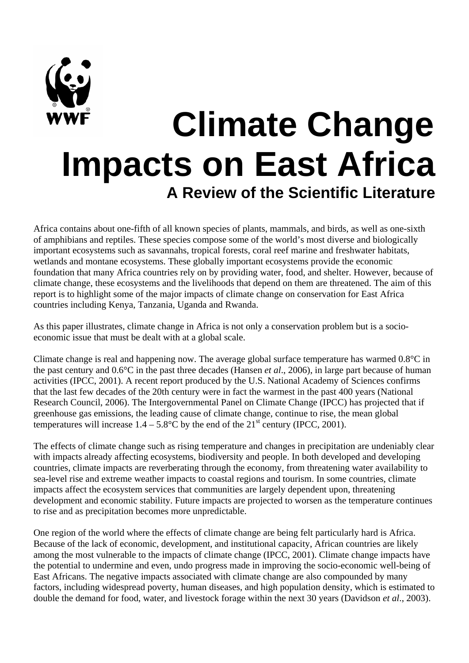# **Climate Change Impacts on East Africa A Review of the Scientific Literature**

Africa contains about one-fifth of all known species of plants, mammals, and birds, as well as one-sixth of amphibians and reptiles. These species compose some of the world's most diverse and biologically important ecosystems such as savannahs, tropical forests, coral reef marine and freshwater habitats, wetlands and montane ecosystems. These globally important ecosystems provide the economic foundation that many Africa countries rely on by providing water, food, and shelter. However, because of climate change, these ecosystems and the livelihoods that depend on them are threatened. The aim of this report is to highlight some of the major impacts of climate change on conservation for East Africa countries including Kenya, Tanzania, Uganda and Rwanda.

As this paper illustrates, climate change in Africa is not only a conservation problem but is a socioeconomic issue that must be dealt with at a global scale.

Climate change is real and happening now. The average global surface temperature has warmed 0.8°C in the past century and 0.6°C in the past three decades (Hansen *et al*., 2006), in large part because of human activities (IPCC, 2001). A recent report produced by the U.S. National Academy of Sciences confirms that the last few decades of the 20th century were in fact the warmest in the past 400 years (National Research Council, 2006). The Intergovernmental Panel on Climate Change (IPCC) has projected that if greenhouse gas emissions, the leading cause of climate change, continue to rise, the mean global temperatures will increase  $1.4 - 5.8$ °C by the end of the  $21$ <sup>st</sup> century (IPCC, 2001).

The effects of climate change such as rising temperature and changes in precipitation are undeniably clear with impacts already affecting ecosystems, biodiversity and people. In both developed and developing countries, climate impacts are reverberating through the economy, from threatening water availability to sea-level rise and extreme weather impacts to coastal regions and tourism. In some countries, climate impacts affect the ecosystem services that communities are largely dependent upon, threatening development and economic stability. Future impacts are projected to worsen as the temperature continues to rise and as precipitation becomes more unpredictable.

One region of the world where the effects of climate change are being felt particularly hard is Africa. Because of the lack of economic, development, and institutional capacity, African countries are likely among the most vulnerable to the impacts of climate change (IPCC, 2001). Climate change impacts have the potential to undermine and even, undo progress made in improving the socio-economic well-being of East Africans. The negative impacts associated with climate change are also compounded by many factors, including widespread poverty, human diseases, and high population density, which is estimated to double the demand for food, water, and livestock forage within the next 30 years (Davidson *et al*., 2003).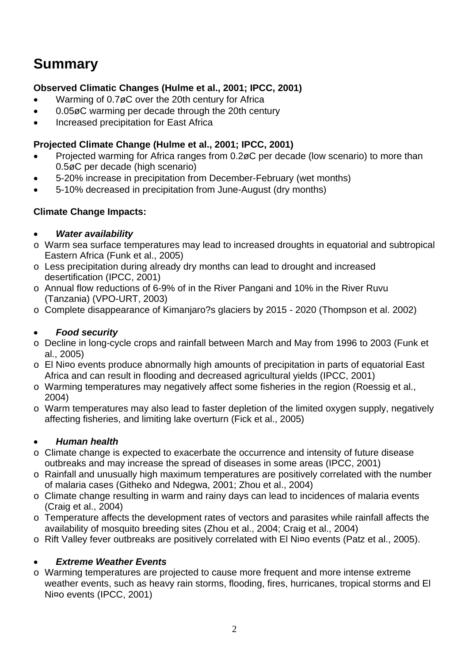# **Summary**

### **Observed Climatic Changes (Hulme et al., 2001; IPCC, 2001)**

- Warming of 0.7øC over the 20th century for Africa
- 0.05øC warming per decade through the 20th century
- Increased precipitation for East Africa

#### **Projected Climate Change (Hulme et al., 2001; IPCC, 2001)**

- Projected warming for Africa ranges from 0.2øC per decade (low scenario) to more than 0.5øC per decade (high scenario)
- 5-20% increase in precipitation from December-February (wet months)
- 5-10% decreased in precipitation from June-August (dry months)

#### **Climate Change Impacts:**

#### • *Water availability*

- o Warm sea surface temperatures may lead to increased droughts in equatorial and subtropical Eastern Africa (Funk et al., 2005)
- o Less precipitation during already dry months can lead to drought and increased desertification (IPCC, 2001)
- o Annual flow reductions of 6-9% of in the River Pangani and 10% in the River Ruvu (Tanzania) (VPO-URT, 2003)
- o Complete disappearance of Kimanjaro?s glaciers by 2015 2020 (Thompson et al. 2002)

#### • *Food security*

- o Decline in long-cycle crops and rainfall between March and May from 1996 to 2003 (Funk et al., 2005)
- o El Ni¤o events produce abnormally high amounts of precipitation in parts of equatorial East Africa and can result in flooding and decreased agricultural yields (IPCC, 2001)
- o Warming temperatures may negatively affect some fisheries in the region (Roessig et al., 2004)
- o Warm temperatures may also lead to faster depletion of the limited oxygen supply, negatively affecting fisheries, and limiting lake overturn (Fick et al., 2005)

#### • *Human health*

- o Climate change is expected to exacerbate the occurrence and intensity of future disease outbreaks and may increase the spread of diseases in some areas (IPCC, 2001)
- o Rainfall and unusually high maximum temperatures are positively correlated with the number of malaria cases (Githeko and Ndegwa, 2001; Zhou et al., 2004)
- o Climate change resulting in warm and rainy days can lead to incidences of malaria events (Craig et al., 2004)
- o Temperature affects the development rates of vectors and parasites while rainfall affects the availability of mosquito breeding sites (Zhou et al., 2004; Craig et al., 2004)
- o Rift Valley fever outbreaks are positively correlated with El Ni¤o events (Patz et al., 2005).

#### • *Extreme Weather Events*

o Warming temperatures are projected to cause more frequent and more intense extreme weather events, such as heavy rain storms, flooding, fires, hurricanes, tropical storms and El Ni¤o events (IPCC, 2001)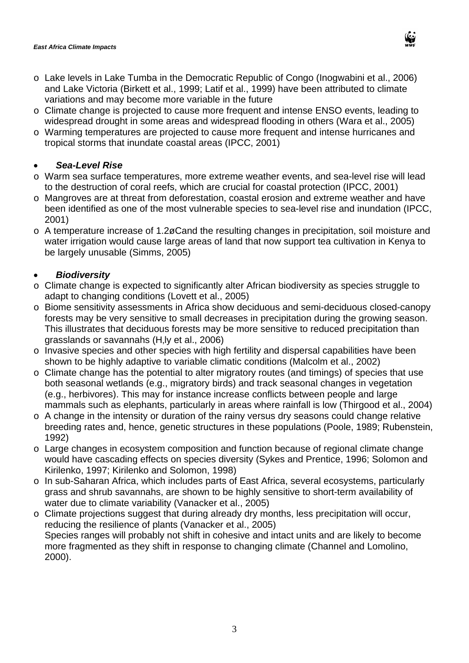- o Lake levels in Lake Tumba in the Democratic Republic of Congo (Inogwabini et al., 2006) and Lake Victoria (Birkett et al., 1999; Latif et al., 1999) have been attributed to climate variations and may become more variable in the future
- o Climate change is projected to cause more frequent and intense ENSO events, leading to widespread drought in some areas and widespread flooding in others (Wara et al., 2005)
- o Warming temperatures are projected to cause more frequent and intense hurricanes and tropical storms that inundate coastal areas (IPCC, 2001)

#### • *Sea-Level Rise*

- o Warm sea surface temperatures, more extreme weather events, and sea-level rise will lead to the destruction of coral reefs, which are crucial for coastal protection (IPCC, 2001)
- o Mangroves are at threat from deforestation, coastal erosion and extreme weather and have been identified as one of the most vulnerable species to sea-level rise and inundation (IPCC, 2001)
- o A temperature increase of 1.2øCand the resulting changes in precipitation, soil moisture and water irrigation would cause large areas of land that now support tea cultivation in Kenya to be largely unusable (Simms, 2005)

#### • *Biodiversity*

- o Climate change is expected to significantly alter African biodiversity as species struggle to adapt to changing conditions (Lovett et al., 2005)
- o Biome sensitivity assessments in Africa show deciduous and semi-deciduous closed-canopy forests may be very sensitive to small decreases in precipitation during the growing season. This illustrates that deciduous forests may be more sensitive to reduced precipitation than grasslands or savannahs (H, ly et al., 2006)
- o Invasive species and other species with high fertility and dispersal capabilities have been shown to be highly adaptive to variable climatic conditions (Malcolm et al., 2002)
- o Climate change has the potential to alter migratory routes (and timings) of species that use both seasonal wetlands (e.g., migratory birds) and track seasonal changes in vegetation (e.g., herbivores). This may for instance increase conflicts between people and large mammals such as elephants, particularly in areas where rainfall is low (Thirgood et al., 2004)
- o A change in the intensity or duration of the rainy versus dry seasons could change relative breeding rates and, hence, genetic structures in these populations (Poole, 1989; Rubenstein, 1992)
- o Large changes in ecosystem composition and function because of regional climate change would have cascading effects on species diversity (Sykes and Prentice, 1996; Solomon and Kirilenko, 1997; Kirilenko and Solomon, 1998)
- o In sub-Saharan Africa, which includes parts of East Africa, several ecosystems, particularly grass and shrub savannahs, are shown to be highly sensitive to short-term availability of water due to climate variability (Vanacker et al., 2005)
- o Climate projections suggest that during already dry months, less precipitation will occur, reducing the resilience of plants (Vanacker et al., 2005) Species ranges will probably not shift in cohesive and intact units and are likely to become more fragmented as they shift in response to changing climate (Channel and Lomolino, 2000).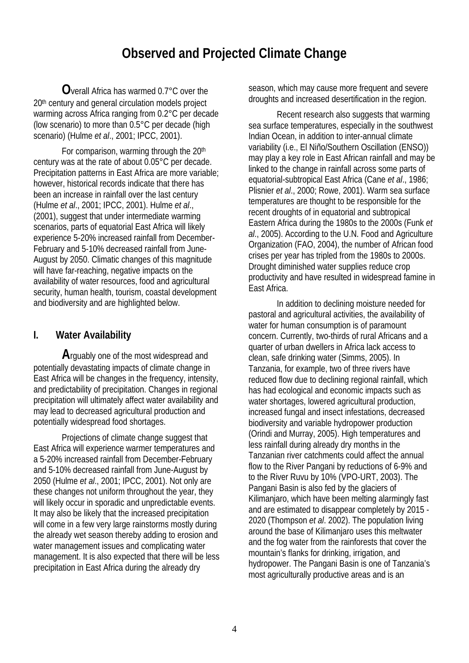## **Observed and Projected Climate Change**

**O**verall Africa has warmed 0.7°C over the 20<sup>th</sup> century and general circulation models project warming across Africa ranging from 0.2°C per decade (low scenario) to more than 0.5°C per decade (high scenario) (Hulme *et al*., 2001; IPCC, 2001).

For comparison, warming through the 20<sup>th</sup> century was at the rate of about 0.05°C per decade. Precipitation patterns in East Africa are more variable; however, historical records indicate that there has been an increase in rainfall over the last century (Hulme *et al*., 2001; IPCC, 2001). Hulme *et al*., (2001), suggest that under intermediate warming scenarios, parts of equatorial East Africa will likely experience 5-20% increased rainfall from December-February and 5-10% decreased rainfall from June-August by 2050. Climatic changes of this magnitude will have far-reaching, negative impacts on the availability of water resources, food and agricultural security, human health, tourism, coastal development and biodiversity and are highlighted below.

#### **I. Water Availability**

**A**rguably one of the most widespread and potentially devastating impacts of climate change in East Africa will be changes in the frequency, intensity, and predictability of precipitation. Changes in regional precipitation will ultimately affect water availability and may lead to decreased agricultural production and potentially widespread food shortages.

Projections of climate change suggest that East Africa will experience warmer temperatures and a 5-20% increased rainfall from December-February and 5-10% decreased rainfall from June-August by 2050 (Hulme *et al*., 2001; IPCC, 2001). Not only are these changes not uniform throughout the year, they will likely occur in sporadic and unpredictable events. It may also be likely that the increased precipitation will come in a few very large rainstorms mostly during the already wet season thereby adding to erosion and water management issues and complicating water management. It is also expected that there will be less precipitation in East Africa during the already dry

season, which may cause more frequent and severe droughts and increased desertification in the region.

Recent research also suggests that warming sea surface temperatures, especially in the southwest Indian Ocean, in addition to inter-annual climate variability (i.e., El Niño/Southern Oscillation (ENSO)) may play a key role in East African rainfall and may be linked to the change in rainfall across some parts of equatorial-subtropical East Africa (Cane *et al*., 1986; Plisnier *et al*., 2000; Rowe, 2001). Warm sea surface temperatures are thought to be responsible for the recent droughts of in equatorial and subtropical Eastern Africa during the 1980s to the 2000s (Funk *et al*., 2005). According to the U.N. Food and Agriculture Organization (FAO, 2004), the number of African food crises per year has tripled from the 1980s to 2000s. Drought diminished water supplies reduce crop productivity and have resulted in widespread famine in East Africa.

In addition to declining moisture needed for pastoral and agricultural activities, the availability of water for human consumption is of paramount concern. Currently, two-thirds of rural Africans and a quarter of urban dwellers in Africa lack access to clean, safe drinking water (Simms, 2005). In Tanzania, for example, two of three rivers have reduced flow due to declining regional rainfall, which has had ecological and economic impacts such as water shortages, lowered agricultural production, increased fungal and insect infestations, decreased biodiversity and variable hydropower production (Orindi and Murray, 2005). High temperatures and less rainfall during already dry months in the Tanzanian river catchments could affect the annual flow to the River Pangani by reductions of 6-9% and to the River Ruvu by 10% (VPO-URT, 2003). The Pangani Basin is also fed by the glaciers of Kilimanjaro, which have been melting alarmingly fast and are estimated to disappear completely by 2015 - 2020 (Thompson *et al*. 2002). The population living around the base of Kilimanjaro uses this meltwater and the fog water from the rainforests that cover the mountain's flanks for drinking, irrigation, and hydropower. The Pangani Basin is one of Tanzania's most agriculturally productive areas and is an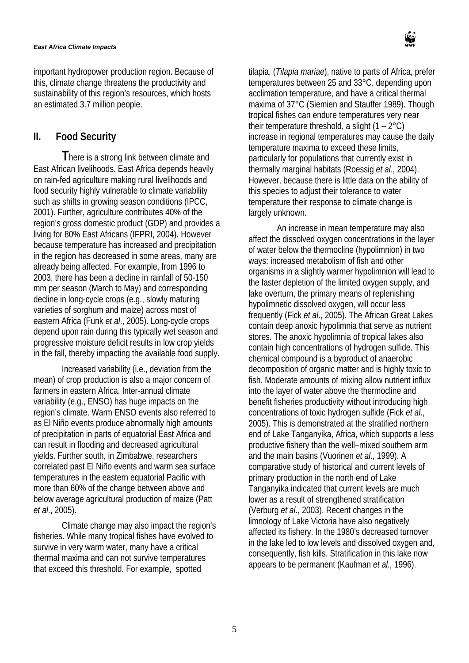#### *East Africa Climate Impacts*

important hydropower production region. Because of this, climate change threatens the productivity and sustainability of this region's resources, which hosts an estimated 3.7 million people.

#### **II. Food Security**

**T**here is a strong link between climate and East African livelihoods. East Africa depends heavily on rain-fed agriculture making rural livelihoods and food security highly vulnerable to climate variability such as shifts in growing season conditions (IPCC, 2001). Further, agriculture contributes 40% of the region's gross domestic product (GDP) and provides a living for 80% East Africans (IFPRI, 2004). However because temperature has increased and precipitation in the region has decreased in some areas, many are already being affected. For example, from 1996 to 2003, there has been a decline in rainfall of 50-150 mm per season (March to May) and corresponding decline in long-cycle crops (e.g., slowly maturing varieties of sorghum and maize) across most of eastern Africa (Funk *et al*., 2005). Long-cycle crops depend upon rain during this typically wet season and progressive moisture deficit results in low crop yields in the fall, thereby impacting the available food supply.

Increased variability (i.e., deviation from the mean) of crop production is also a major concern of farmers in eastern Africa. Inter-annual climate variability (e.g., ENSO) has huge impacts on the region's climate. Warm ENSO events also referred to as El Niño events produce abnormally high amounts of precipitation in parts of equatorial East Africa and can result in flooding and decreased agricultural yields. Further south, in Zimbabwe, researchers correlated past El Niño events and warm sea surface temperatures in the eastern equatorial Pacific with more than 60% of the change between above and below average agricultural production of maize (Patt *et al*., 2005).

Climate change may also impact the region's fisheries. While many tropical fishes have evolved to survive in very warm water, many have a critical thermal maxima and can not survive temperatures that exceed this threshold. For example, spotted



tilapia, (*Tilapia mariae*), native to parts of Africa, prefer temperatures between 25 and 33°C, depending upon acclimation temperature, and have a critical thermal maxima of 37°C (Siemien and Stauffer 1989). Though tropical fishes can endure temperatures very near their temperature threshold, a slight  $(1 - 2^{\circ}C)$ increase in regional temperatures may cause the daily temperature maxima to exceed these limits, particularly for populations that currently exist in thermally marginal habitats (Roessig *et al*., 2004). However, because there is little data on the ability of this species to adjust their tolerance to water temperature their response to climate change is largely unknown.

An increase in mean temperature may also affect the dissolved oxygen concentrations in the layer of water below the thermocline (hypolimnion) in two ways: increased metabolism of fish and other organisms in a slightly warmer hypolimnion will lead to the faster depletion of the limited oxygen supply, and lake overturn, the primary means of replenishing hypolimnetic dissolved oxygen, will occur less frequently (Fick *et al*., 2005). The African Great Lakes contain deep anoxic hypolimnia that serve as nutrient stores. The anoxic hypolimnia of tropical lakes also contain high concentrations of hydrogen sulfide. This chemical compound is a byproduct of anaerobic decomposition of organic matter and is highly toxic to fish. Moderate amounts of mixing allow nutrient influx into the layer of water above the thermocline and benefit fisheries productivity without introducing high concentrations of toxic hydrogen sulfide (Fick *et al*., 2005). This is demonstrated at the stratified northern end of Lake Tanganyika, Africa, which supports a less productive fishery than the well–mixed southern arm and the main basins (Vuorinen *et al*., 1999). A comparative study of historical and current levels of primary production in the north end of Lake Tanganyika indicated that current levels are much lower as a result of strengthened stratification (Verburg *et al*., 2003). Recent changes in the limnology of Lake Victoria have also negatively affected its fishery. In the 1980's decreased turnover in the lake led to low levels and dissolved oxygen and, consequently, fish kills. Stratification in this lake now appears to be permanent (Kaufman *et al*., 1996).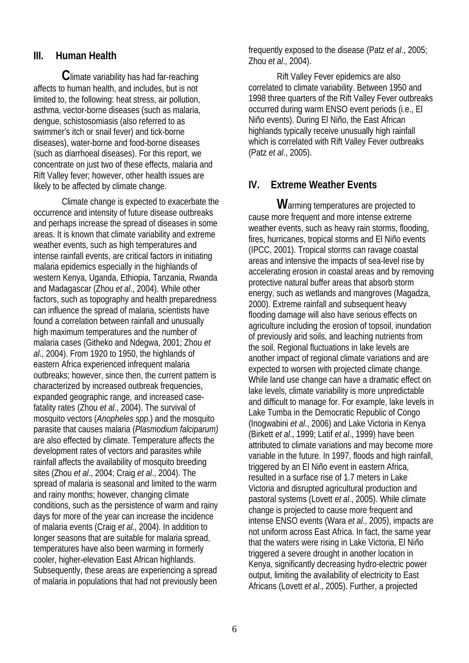#### **III. Human Health**

**C**limate variability has had far-reaching affects to human health, and includes, but is not limited to, the following: heat stress, air pollution, asthma, vector-borne diseases (such as malaria, dengue, schistosomiasis (also referred to as swimmer's itch or snail fever) and tick-borne diseases), water-borne and food-borne diseases (such as diarrhoeal diseases). For this report, we concentrate on just two of these effects, malaria and Rift Valley fever; however, other health issues are likely to be affected by climate change.

Climate change is expected to exacerbate the occurrence and intensity of future disease outbreaks and perhaps increase the spread of diseases in some areas. It is known that climate variability and extreme weather events, such as high temperatures and intense rainfall events, are critical factors in initiating malaria epidemics especially in the highlands of western Kenya, Uganda, Ethiopia, Tanzania, Rwanda and Madagascar (Zhou *et al*., 2004). While other factors, such as topography and health preparedness can influence the spread of malaria, scientists have found a correlation between rainfall and unusually high maximum temperatures and the number of malaria cases (Githeko and Ndegwa, 2001; Zhou *et al*., 2004). From 1920 to 1950, the highlands of eastern Africa experienced infrequent malaria outbreaks; however, since then, the current pattern is characterized by increased outbreak frequencies, expanded geographic range, and increased casefatality rates (Zhou *et al*., 2004). The survival of mosquito vectors (*Anopheles spp.*) and the mosquito parasite that causes malaria (*Plasmodium falciparum)* are also effected by climate. Temperature affects the development rates of vectors and parasites while rainfall affects the availability of mosquito breeding sites (Zhou *et al*., 2004; Craig *et al*., 2004). The spread of malaria is seasonal and limited to the warm and rainy months; however, changing climate conditions, such as the persistence of warm and rainy days for more of the year can increase the incidence of malaria events (Craig *et al*., 2004). In addition to longer seasons that are suitable for malaria spread, temperatures have also been warming in formerly cooler, higher-elevation East African highlands. Subsequently, these areas are experiencing a spread of malaria in populations that had not previously been

frequently exposed to the disease (Patz *et al*., 2005; Zhou *et al*., 2004).

Rift Valley Fever epidemics are also correlated to climate variability. Between 1950 and 1998 three quarters of the Rift Valley Fever outbreaks occurred during warm ENSO event periods (i.e., El Niño events). During El Niño, the East African highlands typically receive unusually high rainfall which is correlated with Rift Valley Fever outbreaks (Patz *et al*., 2005).

#### **IV. Extreme Weather Events**

**W**arming temperatures are projected to cause more frequent and more intense extreme weather events, such as heavy rain storms, flooding, fires, hurricanes, tropical storms and El Niño events (IPCC, 2001). Tropical storms can ravage coastal areas and intensive the impacts of sea-level rise by accelerating erosion in coastal areas and by removing protective natural buffer areas that absorb storm energy, such as wetlands and mangroves (Magadza, 2000). Extreme rainfall and subsequent heavy flooding damage will also have serious effects on agriculture including the erosion of topsoil, inundation of previously arid soils, and leaching nutrients from the soil. Regional fluctuations in lake levels are another impact of regional climate variations and are expected to worsen with projected climate change. While land use change can have a dramatic effect on lake levels, climate variability is more unpredictable and difficult to manage for. For example, lake levels in Lake Tumba in the Democratic Republic of Congo (Inogwabini *et al*., 2006) and Lake Victoria in Kenya (Birkett *et al*., 1999; Latif *et al*., 1999) have been attributed to climate variations and may become more variable in the future. In 1997, floods and high rainfall, triggered by an El Niño event in eastern Africa, resulted in a surface rise of 1.7 meters in Lake Victoria and disrupted agricultural production and pastoral systems (Lovett *et al*., 2005). While climate change is projected to cause more frequent and intense ENSO events (Wara *et al*., 2005), impacts are not uniform across East Africa. In fact, the same year that the waters were rising in Lake Victoria, El Niño triggered a severe drought in another location in Kenya, significantly decreasing hydro-electric power output, limiting the availability of electricity to East Africans (Lovett *et al*., 2005). Further, a projected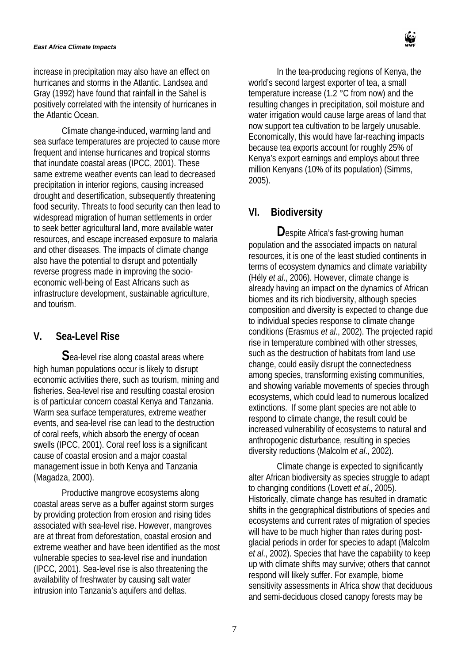#### *East Africa Climate Impacts*

increase in precipitation may also have an effect on hurricanes and storms in the Atlantic. Landsea and Gray (1992) have found that rainfall in the Sahel is positively correlated with the intensity of hurricanes in the Atlantic Ocean.

Climate change-induced, warming land and sea surface temperatures are projected to cause more frequent and intense hurricanes and tropical storms that inundate coastal areas (IPCC, 2001). These same extreme weather events can lead to decreased precipitation in interior regions, causing increased drought and desertification, subsequently threatening food security. Threats to food security can then lead to widespread migration of human settlements in order to seek better agricultural land, more available water resources, and escape increased exposure to malaria and other diseases. The impacts of climate change also have the potential to disrupt and potentially reverse progress made in improving the socioeconomic well-being of East Africans such as infrastructure development, sustainable agriculture, and tourism.

#### **V. Sea-Level Rise**

**S**ea-level rise along coastal areas where high human populations occur is likely to disrupt economic activities there, such as tourism, mining and fisheries. Sea-level rise and resulting coastal erosion is of particular concern coastal Kenya and Tanzania. Warm sea surface temperatures, extreme weather events, and sea-level rise can lead to the destruction of coral reefs, which absorb the energy of ocean swells (IPCC, 2001). Coral reef loss is a significant cause of coastal erosion and a major coastal management issue in both Kenya and Tanzania (Magadza, 2000).

Productive mangrove ecosystems along coastal areas serve as a buffer against storm surges by providing protection from erosion and rising tides associated with sea-level rise. However, mangroves are at threat from deforestation, coastal erosion and extreme weather and have been identified as the most vulnerable species to sea-level rise and inundation (IPCC, 2001). Sea-level rise is also threatening the availability of freshwater by causing salt water intrusion into Tanzania's aquifers and deltas.

In the tea-producing regions of Kenya, the world's second largest exporter of tea, a small temperature increase (1.2 °C from now) and the resulting changes in precipitation, soil moisture and water irrigation would cause large areas of land that now support tea cultivation to be largely unusable. Economically, this would have far-reaching impacts because tea exports account for roughly 25% of Kenya's export earnings and employs about three million Kenyans (10% of its population) (Simms, 2005).

## **VI. Biodiversity**

**D**espite Africa's fast-growing human population and the associated impacts on natural resources, it is one of the least studied continents in terms of ecosystem dynamics and climate variability (Hély *et al*., 2006). However, climate change is already having an impact on the dynamics of African biomes and its rich biodiversity, although species composition and diversity is expected to change due to individual species response to climate change conditions (Erasmus *et al*., 2002). The projected rapid rise in temperature combined with other stresses, such as the destruction of habitats from land use change, could easily disrupt the connectedness among species, transforming existing communities, and showing variable movements of species through ecosystems, which could lead to numerous localized extinctions. If some plant species are not able to respond to climate change, the result could be increased vulnerability of ecosystems to natural and anthropogenic disturbance, resulting in species diversity reductions (Malcolm *et al*., 2002).

Climate change is expected to significantly alter African biodiversity as species struggle to adapt to changing conditions (Lovett *et al*., 2005). Historically, climate change has resulted in dramatic shifts in the geographical distributions of species and ecosystems and current rates of migration of species will have to be much higher than rates during postglacial periods in order for species to adapt (Malcolm *et al*., 2002). Species that have the capability to keep up with climate shifts may survive; others that cannot respond will likely suffer. For example, biome sensitivity assessments in Africa show that deciduous and semi-deciduous closed canopy forests may be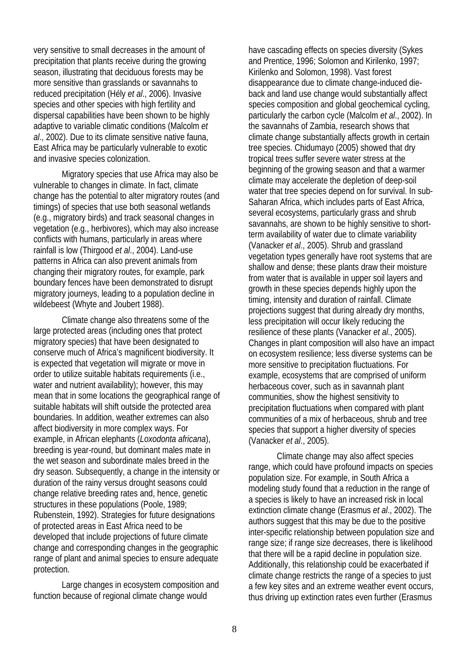very sensitive to small decreases in the amount of precipitation that plants receive during the growing season, illustrating that deciduous forests may be more sensitive than grasslands or savannahs to reduced precipitation (Hély *et al*., 2006). Invasive species and other species with high fertility and dispersal capabilities have been shown to be highly adaptive to variable climatic conditions (Malcolm *et al*., 2002). Due to its climate sensitive native fauna, East Africa may be particularly vulnerable to exotic and invasive species colonization.

Migratory species that use Africa may also be vulnerable to changes in climate. In fact, climate change has the potential to alter migratory routes (and timings) of species that use both seasonal wetlands (e.g., migratory birds) and track seasonal changes in vegetation (e.g., herbivores), which may also increase conflicts with humans, particularly in areas where rainfall is low (Thirgood *et al*., 2004). Land-use patterns in Africa can also prevent animals from changing their migratory routes, for example, park boundary fences have been demonstrated to disrupt migratory journeys, leading to a population decline in wildebeest (Whyte and Joubert 1988).

Climate change also threatens some of the large protected areas (including ones that protect migratory species) that have been designated to conserve much of Africa's magnificent biodiversity. It is expected that vegetation will migrate or move in order to utilize suitable habitats requirements (i.e., water and nutrient availability); however, this may mean that in some locations the geographical range of suitable habitats will shift outside the protected area boundaries. In addition, weather extremes can also affect biodiversity in more complex ways. For example, in African elephants (*Loxodonta africana*), breeding is year-round, but dominant males mate in the wet season and subordinate males breed in the dry season. Subsequently, a change in the intensity or duration of the rainy versus drought seasons could change relative breeding rates and, hence, genetic structures in these populations (Poole, 1989; Rubenstein, 1992). Strategies for future designations of protected areas in East Africa need to be developed that include projections of future climate change and corresponding changes in the geographic range of plant and animal species to ensure adequate protection.

Large changes in ecosystem composition and function because of regional climate change would

have cascading effects on species diversity (Sykes and Prentice, 1996; Solomon and Kirilenko, 1997; Kirilenko and Solomon, 1998). Vast forest disappearance due to climate change-induced dieback and land use change would substantially affect species composition and global geochemical cycling, particularly the carbon cycle (Malcolm *et al*., 2002). In the savannahs of Zambia, research shows that climate change substantially affects growth in certain tree species. Chidumayo (2005) showed that dry tropical trees suffer severe water stress at the beginning of the growing season and that a warmer climate may accelerate the depletion of deep-soil water that tree species depend on for survival. In sub-Saharan Africa, which includes parts of East Africa, several ecosystems, particularly grass and shrub savannahs, are shown to be highly sensitive to shortterm availability of water due to climate variability (Vanacker *et al*., 2005). Shrub and grassland vegetation types generally have root systems that are shallow and dense; these plants draw their moisture from water that is available in upper soil layers and growth in these species depends highly upon the timing, intensity and duration of rainfall. Climate projections suggest that during already dry months, less precipitation will occur likely reducing the resilience of these plants (Vanacker *et al*., 2005). Changes in plant composition will also have an impact on ecosystem resilience; less diverse systems can be more sensitive to precipitation fluctuations. For example, ecosystems that are comprised of uniform herbaceous cover, such as in savannah plant communities, show the highest sensitivity to precipitation fluctuations when compared with plant communities of a mix of herbaceous, shrub and tree species that support a higher diversity of species (Vanacker *et al*., 2005).

Climate change may also affect species range, which could have profound impacts on species population size. For example, in South Africa a modeling study found that a reduction in the range of a species is likely to have an increased risk in local extinction climate change (Erasmus *et al*., 2002). The authors suggest that this may be due to the positive inter-specific relationship between population size and range size; if range size decreases, there is likelihood that there will be a rapid decline in population size. Additionally, this relationship could be exacerbated if climate change restricts the range of a species to just a few key sites and an extreme weather event occurs, thus driving up extinction rates even further (Erasmus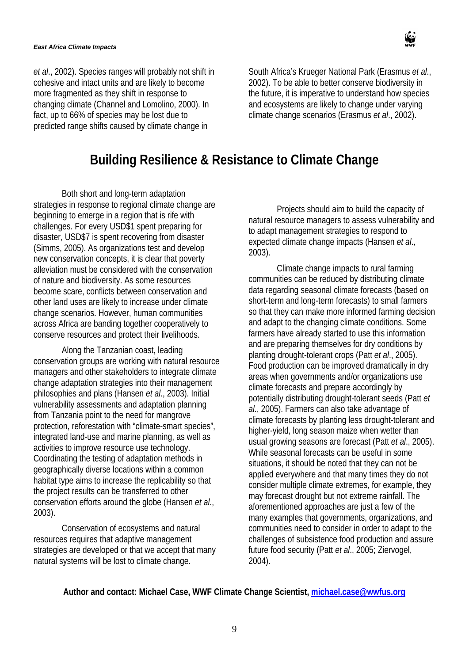*et al*., 2002). Species ranges will probably not shift in cohesive and intact units and are likely to become more fragmented as they shift in response to changing climate (Channel and Lomolino, 2000). In fact, up to 66% of species may be lost due to predicted range shifts caused by climate change in

South Africa's Krueger National Park (Erasmus *et al*., 2002). To be able to better conserve biodiversity in the future, it is imperative to understand how species and ecosystems are likely to change under varying climate change scenarios (Erasmus *et al*., 2002).

## **Building Resilience & Resistance to Climate Change**

Both short and long-term adaptation strategies in response to regional climate change are beginning to emerge in a region that is rife with challenges. For every USD\$1 spent preparing for disaster, USD\$7 is spent recovering from disaster (Simms, 2005). As organizations test and develop new conservation concepts, it is clear that poverty alleviation must be considered with the conservation of nature and biodiversity. As some resources become scare, conflicts between conservation and other land uses are likely to increase under climate change scenarios. However, human communities across Africa are banding together cooperatively to conserve resources and protect their livelihoods.

Along the Tanzanian coast, leading conservation groups are working with natural resource managers and other stakeholders to integrate climate change adaptation strategies into their management philosophies and plans (Hansen *et al*., 2003). Initial vulnerability assessments and adaptation planning from Tanzania point to the need for mangrove protection, reforestation with "climate-smart species", integrated land-use and marine planning, as well as activities to improve resource use technology. Coordinating the testing of adaptation methods in geographically diverse locations within a common habitat type aims to increase the replicability so that the project results can be transferred to other conservation efforts around the globe (Hansen *et al*., 2003).

Conservation of ecosystems and natural resources requires that adaptive management strategies are developed or that we accept that many natural systems will be lost to climate change.

Projects should aim to build the capacity of natural resource managers to assess vulnerability and to adapt management strategies to respond to expected climate change impacts (Hansen *et al*., 2003).

Climate change impacts to rural farming communities can be reduced by distributing climate data regarding seasonal climate forecasts (based on short-term and long-term forecasts) to small farmers so that they can make more informed farming decision and adapt to the changing climate conditions. Some farmers have already started to use this information and are preparing themselves for dry conditions by planting drought-tolerant crops (Patt *et al*., 2005). Food production can be improved dramatically in dry areas when governments and/or organizations use climate forecasts and prepare accordingly by potentially distributing drought-tolerant seeds (Patt *et al*., 2005). Farmers can also take advantage of climate forecasts by planting less drought-tolerant and higher-yield, long season maize when wetter than usual growing seasons are forecast (Patt *et al*., 2005). While seasonal forecasts can be useful in some situations, it should be noted that they can not be applied everywhere and that many times they do not consider multiple climate extremes, for example, they may forecast drought but not extreme rainfall. The aforementioned approaches are just a few of the many examples that governments, organizations, and communities need to consider in order to adapt to the challenges of subsistence food production and assure future food security (Patt *et al*., 2005; Ziervogel, 2004).

#### **Author and contact: Michael Case, WWF Climate Change Scientist, [michael.case@wwfus.org](mailto:michael.case@wwfus.org)**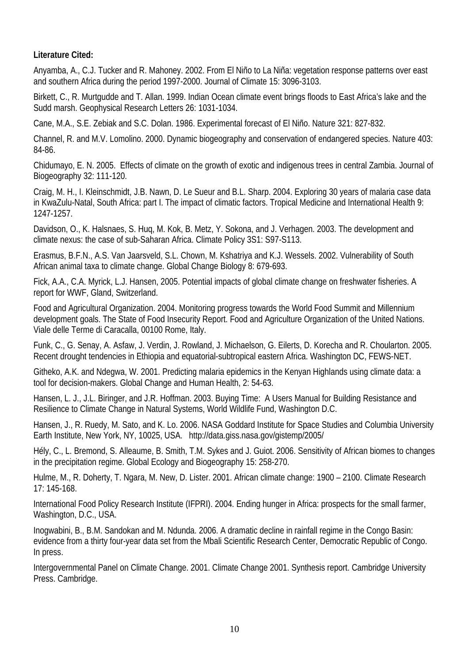#### **Literature Cited:**

Anyamba, A., C.J. Tucker and R. Mahoney. 2002. From El Niño to La Niña: vegetation response patterns over east and southern Africa during the period 1997-2000. Journal of Climate 15: 3096-3103.

Birkett, C., R. Murtgudde and T. Allan. 1999. Indian Ocean climate event brings floods to East Africa's lake and the Sudd marsh. Geophysical Research Letters 26: 1031-1034.

Cane, M.A., S.E. Zebiak and S.C. Dolan. 1986. Experimental forecast of El Niño. Nature 321: 827-832.

Channel, R. and M.V. Lomolino. 2000. Dynamic biogeography and conservation of endangered species. Nature 403: 84-86.

Chidumayo, E. N. 2005. Effects of climate on the growth of exotic and indigenous trees in central Zambia. Journal of Biogeography 32: 111-120.

Craig, M. H., I. Kleinschmidt, J.B. Nawn, D. Le Sueur and B.L. Sharp. 2004. Exploring 30 years of malaria case data in KwaZulu-Natal, South Africa: part I. The impact of climatic factors. Tropical Medicine and International Health 9: 1247-1257.

Davidson, O., K. Halsnaes, S. Huq, M. Kok, B. Metz, Y. Sokona, and J. Verhagen. 2003. The development and climate nexus: the case of sub-Saharan Africa. Climate Policy 3S1: S97-S113.

Erasmus, B.F.N., A.S. Van Jaarsveld, S.L. Chown, M. Kshatriya and K.J. Wessels. 2002. Vulnerability of South African animal taxa to climate change. Global Change Biology 8: 679-693.

Fick, A.A., C.A. Myrick, L.J. Hansen, 2005. Potential impacts of global climate change on freshwater fisheries. A report for WWF, Gland, Switzerland.

Food and Agricultural Organization. 2004. Monitoring progress towards the World Food Summit and Millennium development goals. The State of Food Insecurity Report. Food and Agriculture Organization of the United Nations. Viale delle Terme di Caracalla, 00100 Rome, Italy.

Funk, C., G. Senay, A. Asfaw, J. Verdin, J. Rowland, J. Michaelson, G. Eilerts, D. Korecha and R. Choularton. 2005. Recent drought tendencies in Ethiopia and equatorial-subtropical eastern Africa. Washington DC, FEWS-NET.

Githeko, A.K. and Ndegwa, W. 2001. Predicting malaria epidemics in the Kenyan Highlands using climate data: a tool for decision-makers. Global Change and Human Health, 2: 54-63.

Hansen, L. J., J.L. Biringer, and J.R. Hoffman. 2003. Buying Time: A Users Manual for Building Resistance and Resilience to Climate Change in Natural Systems, World Wildlife Fund, Washington D.C.

Hansen, J., R. Ruedy, M. Sato, and K. Lo. 2006. NASA Goddard Institute for Space Studies and Columbia University Earth Institute, New York, NY, 10025, USA. http://data.giss.nasa.gov/gistemp/2005/

Hély, C., L. Bremond, S. Alleaume, B. Smith, T.M. Sykes and J. Guiot. 2006. Sensitivity of African biomes to changes in the precipitation regime. Global Ecology and Biogeography 15: 258-270.

Hulme, M., R. Doherty, T. Ngara, M. New, D. Lister. 2001. African climate change: 1900 – 2100. Climate Research 17: 145-168.

International Food Policy Research Institute (IFPRI). 2004. Ending hunger in Africa: prospects for the small farmer, Washington, D.C., USA.

Inogwabini, B., B.M. Sandokan and M. Ndunda. 2006. A dramatic decline in rainfall regime in the Congo Basin: evidence from a thirty four-year data set from the Mbali Scientific Research Center, Democratic Republic of Congo. In press.

Intergovernmental Panel on Climate Change. 2001. Climate Change 2001. Synthesis report. Cambridge University Press. Cambridge.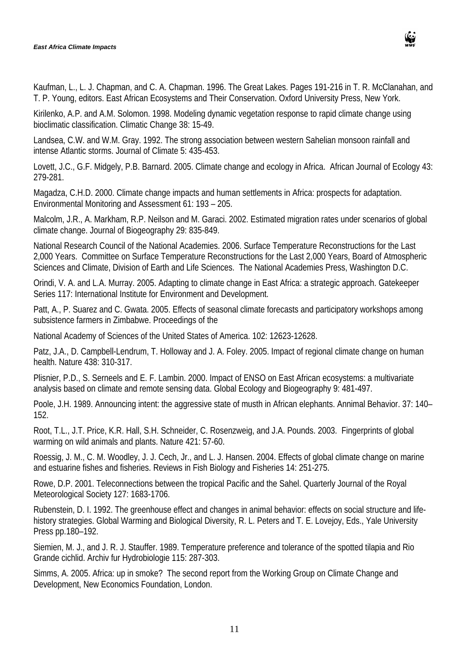

Kaufman, L., L. J. Chapman, and C. A. Chapman. 1996. The Great Lakes. Pages 191-216 in T. R. McClanahan, and T. P. Young, editors. East African Ecosystems and Their Conservation. Oxford University Press, New York.

Kirilenko, A.P. and A.M. Solomon. 1998. Modeling dynamic vegetation response to rapid climate change using bioclimatic classification. Climatic Change 38: 15-49.

Landsea, C.W. and W.M. Gray. 1992. The strong association between western Sahelian monsoon rainfall and intense Atlantic storms. Journal of Climate 5: 435-453.

Lovett, J.C., G.F. Midgely, P.B. Barnard. 2005. Climate change and ecology in Africa. African Journal of Ecology 43: 279-281.

Magadza, C.H.D. 2000. Climate change impacts and human settlements in Africa: prospects for adaptation. Environmental Monitoring and Assessment 61: 193 – 205.

Malcolm, J.R., A. Markham, R.P. Neilson and M. Garaci. 2002. Estimated migration rates under scenarios of global climate change. Journal of Biogeography 29: 835-849.

National Research Council of the National Academies. 2006. Surface Temperature Reconstructions for the Last 2,000 Years. Committee on Surface Temperature Reconstructions for the Last 2,000 Years, Board of Atmospheric Sciences and Climate, Division of Earth and Life Sciences. The National Academies Press, Washington D.C.

Orindi, V. A. and L.A. Murray. 2005. Adapting to climate change in East Africa: a strategic approach. Gatekeeper Series 117: International Institute for Environment and Development.

Patt, A., P. Suarez and C. Gwata. 2005. Effects of seasonal climate forecasts and participatory workshops among subsistence farmers in Zimbabwe. Proceedings of the

National Academy of Sciences of the United States of America. 102: 12623-12628.

Patz, J.A., D. Campbell-Lendrum, T. Holloway and J. A. Foley. 2005. Impact of regional climate change on human health. Nature 438: 310-317.

Plisnier, P.D., S. Serneels and E. F. Lambin. 2000. Impact of ENSO on East African ecosystems: a multivariate analysis based on climate and remote sensing data. Global Ecology and Biogeography 9: 481-497.

Poole, J.H. 1989. Announcing intent: the aggressive state of musth in African elephants. Annimal Behavior. 37: 140– 152.

Root, T.L., J.T. Price, K.R. Hall, S.H. Schneider, C. Rosenzweig, and J.A. Pounds. 2003. Fingerprints of global warming on wild animals and plants. Nature 421: 57-60.

Roessig, J. M., C. M. Woodley, J. J. Cech, Jr., and L. J. Hansen. 2004. Effects of global climate change on marine and estuarine fishes and fisheries. Reviews in Fish Biology and Fisheries 14: 251-275.

Rowe, D.P. 2001. Teleconnections between the tropical Pacific and the Sahel. Quarterly Journal of the Royal Meteorological Society 127: 1683-1706.

Rubenstein, D. I. 1992. The greenhouse effect and changes in animal behavior: effects on social structure and lifehistory strategies. Global Warming and Biological Diversity, R. L. Peters and T. E. Lovejoy, Eds., Yale University Press pp.180–192.

Siemien, M. J., and J. R. J. Stauffer. 1989. Temperature preference and tolerance of the spotted tilapia and Rio Grande cichlid. Archiv fur Hydrobiologie 115: 287-303.

Simms, A. 2005. Africa: up in smoke? The second report from the Working Group on Climate Change and Development, New Economics Foundation, London.